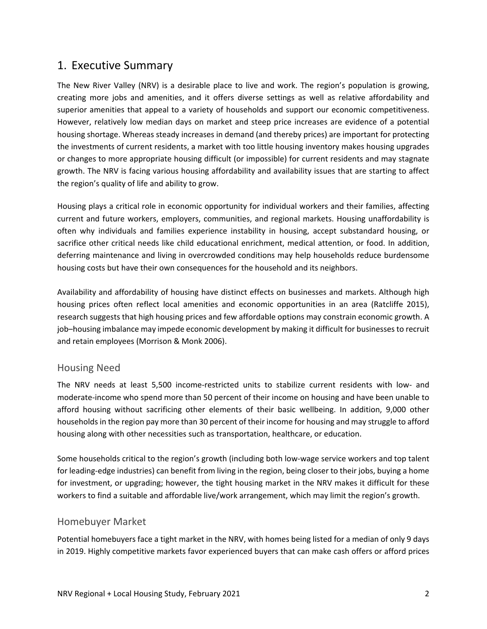# 1. Executive Summary

The New River Valley (NRV) is a desirable place to live and work. The region's population is growing, creating more jobs and amenities, and it offers diverse settings as well as relative affordability and superior amenities that appeal to a variety of households and support our economic competitiveness. However, relatively low median days on market and steep price increases are evidence of a potential housing shortage. Whereas steady increases in demand (and thereby prices) are important for protecting the investments of current residents, a market with too little housing inventory makes housing upgrades or changes to more appropriate housing difficult (or impossible) for current residents and may stagnate growth. The NRV is facing various housing affordability and availability issues that are starting to affect the region's quality of life and ability to grow.

Housing plays a critical role in economic opportunity for individual workers and their families, affecting current and future workers, employers, communities, and regional markets. Housing unaffordability is often why individuals and families experience instability in housing, accept substandard housing, or sacrifice other critical needs like child educational enrichment, medical attention, or food. In addition, deferring maintenance and living in overcrowded conditions may help households reduce burdensome housing costs but have their own consequences for the household and its neighbors.

Availability and affordability of housing have distinct effects on businesses and markets. Although high housing prices often reflect local amenities and economic opportunities in an area (Ratcliffe 2015), research suggests that high housing prices and few affordable options may constrain economic growth. A job–housing imbalance may impede economic development by making it difficult for businessesto recruit and retain employees (Morrison & Monk 2006).

## Housing Need

The NRV needs at least 5,500 income‐restricted units to stabilize current residents with low‐ and moderate‐income who spend more than 50 percent of their income on housing and have been unable to afford housing without sacrificing other elements of their basic wellbeing. In addition, 9,000 other households in the region pay more than 30 percent of their income for housing and may struggle to afford housing along with other necessities such as transportation, healthcare, or education.

Some households critical to the region's growth (including both low-wage service workers and top talent for leading‐edge industries) can benefit from living in the region, being closer to their jobs, buying a home for investment, or upgrading; however, the tight housing market in the NRV makes it difficult for these workers to find a suitable and affordable live/work arrangement, which may limit the region's growth.

#### Homebuyer Market

Potential homebuyers face a tight market in the NRV, with homes being listed for a median of only 9 days in 2019. Highly competitive markets favor experienced buyers that can make cash offers or afford prices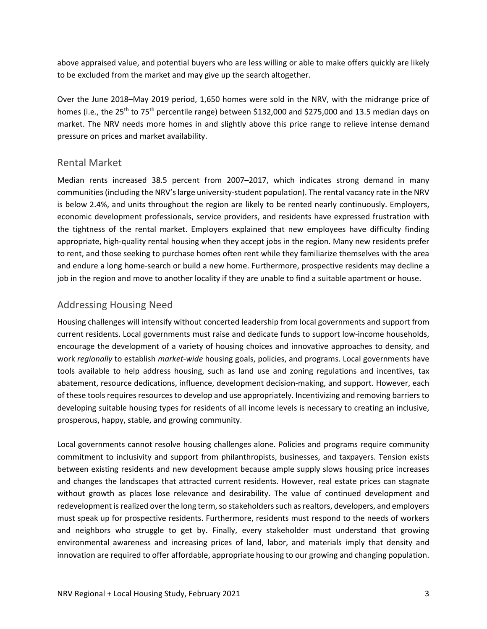above appraised value, and potential buyers who are less willing or able to make offers quickly are likely to be excluded from the market and may give up the search altogether.

Over the June 2018–May 2019 period, 1,650 homes were sold in the NRV, with the midrange price of homes (i.e., the 25<sup>th</sup> to 75<sup>th</sup> percentile range) between \$132,000 and \$275,000 and 13.5 median days on market. The NRV needs more homes in and slightly above this price range to relieve intense demand pressure on prices and market availability.

#### Rental Market

Median rents increased 38.5 percent from 2007–2017, which indicates strong demand in many communities(including the NRV'slarge university‐student population). The rental vacancy rate in the NRV is below 2.4%, and units throughout the region are likely to be rented nearly continuously. Employers, economic development professionals, service providers, and residents have expressed frustration with the tightness of the rental market. Employers explained that new employees have difficulty finding appropriate, high-quality rental housing when they accept jobs in the region. Many new residents prefer to rent, and those seeking to purchase homes often rent while they familiarize themselves with the area and endure a long home‐search or build a new home. Furthermore, prospective residents may decline a job in the region and move to another locality if they are unable to find a suitable apartment or house.

# Addressing Housing Need

Housing challenges will intensify without concerted leadership from local governments and support from current residents. Local governments must raise and dedicate funds to support low‐income households, encourage the development of a variety of housing choices and innovative approaches to density, and work *regionally* to establish *market‐wide* housing goals, policies, and programs. Local governments have tools available to help address housing, such as land use and zoning regulations and incentives, tax abatement, resource dedications, influence, development decision‐making, and support. However, each of these tools requires resources to develop and use appropriately. Incentivizing and removing barriers to developing suitable housing types for residents of all income levels is necessary to creating an inclusive, prosperous, happy, stable, and growing community.

Local governments cannot resolve housing challenges alone. Policies and programs require community commitment to inclusivity and support from philanthropists, businesses, and taxpayers. Tension exists between existing residents and new development because ample supply slows housing price increases and changes the landscapes that attracted current residents. However, real estate prices can stagnate without growth as places lose relevance and desirability. The value of continued development and redevelopment is realized over the long term, so stakeholders such as realtors, developers, and employers must speak up for prospective residents. Furthermore, residents must respond to the needs of workers and neighbors who struggle to get by. Finally, every stakeholder must understand that growing environmental awareness and increasing prices of land, labor, and materials imply that density and innovation are required to offer affordable, appropriate housing to our growing and changing population.